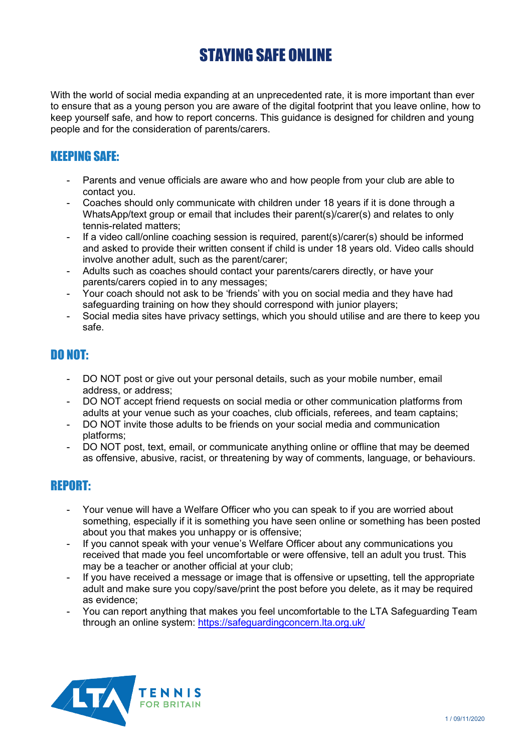# STAYING SAFE ONLINE

With the world of social media expanding at an unprecedented rate, it is more important than ever to ensure that as a young person you are aware of the digital footprint that you leave online, how to keep yourself safe, and how to report concerns. This guidance is designed for children and young people and for the consideration of parents/carers.

## KEEPING SAFE:

- Parents and venue officials are aware who and how people from your club are able to contact you.
- Coaches should only communicate with children under 18 years if it is done through a WhatsApp/text group or email that includes their parent(s)/carer(s) and relates to only tennis-related matters;
- If a video call/online coaching session is required, parent(s)/carer(s) should be informed and asked to provide their written consent if child is under 18 years old. Video calls should involve another adult, such as the parent/carer;
- Adults such as coaches should contact your parents/carers directly, or have your parents/carers copied in to any messages;
- Your coach should not ask to be 'friends' with you on social media and they have had safeguarding training on how they should correspond with junior players;
- Social media sites have privacy settings, which you should utilise and are there to keep you safe.

### DO NOT:

- DO NOT post or give out your personal details, such as your mobile number, email address, or address;
- DO NOT accept friend requests on social media or other communication platforms from adults at your venue such as your coaches, club officials, referees, and team captains;
- DO NOT invite those adults to be friends on your social media and communication platforms;
- DO NOT post, text, email, or communicate anything online or offline that may be deemed as offensive, abusive, racist, or threatening by way of comments, language, or behaviours.

### REPORT:

- Your venue will have a Welfare Officer who you can speak to if you are worried about something, especially if it is something you have seen online or something has been posted about you that makes you unhappy or is offensive;
- If you cannot speak with your venue's Welfare Officer about any communications you received that made you feel uncomfortable or were offensive, tell an adult you trust. This may be a teacher or another official at your club;
- If you have received a message or image that is offensive or upsetting, tell the appropriate adult and make sure you copy/save/print the post before you delete, as it may be required as evidence;
- You can report anything that makes you feel uncomfortable to the LTA Safeguarding Team through an online system:<https://safeguardingconcern.lta.org.uk/>